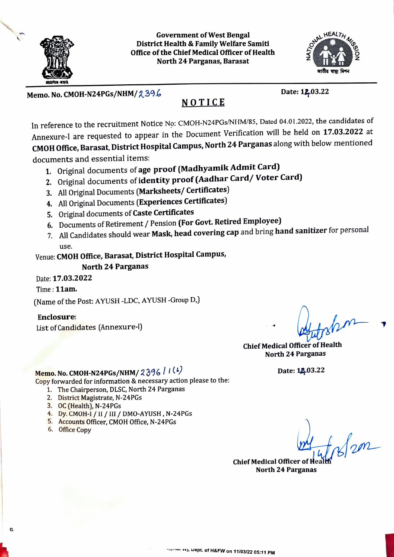

Government of West Bengal District Health & Family Welfare Samiti Office of the Chief Medical Officer of Health North 24 Parganas, Barasat



Memo. No. CMOH-N24PGs/NHM/2396 Date: 12,03.22

## NOTICE

In reference to the recruitment Notice No: CMOH-N24PGs/NHM/85, Dated 04.01.2022, the candidates of Annexure-I are requested to appear in the Document Verification will be held on 17.03.2022 at CMOH Office, Barasat, District Hospital Campus, North 24 Parganas along with below mentioned documents and essential items:

- 1. Original documents of age proof (Madhyamik Admit Card)
- 2. Original documents of identity proof (Aadhar Card/ Voter Card)
- 3. All Original Documents (Marksheets/ Certificates)
- 4. All Original Documents (Experiences Certificates)
- 5. Original documents of Caste Certificates
- 6. Documents of Retirement/ Pension (For Govt. Retired Employee)
- 7. All Candidates should wear Mask, head covering cap and bring hand sanitizer for personal use.

Venue: CMOH Office, Barasat, District Hospital Campus,

### North 24 Parganas

Date: 17.03.2022

Time:11am.

(Name of the Post: AYUSH -LDC, AYUSH -Group D.)

#### Enclosure:

List of Candidates (Annexure-)

Chief Medical Officer of Health North 24 Parganas

Date: 12.03.22

# Memo. No. CMOH-N24PGs/NHM/  $239671(4)$

Copy forwarded for information & necessary action please to the:

- 1. The Chairperson, DLSC, North 24 Parganas
- 2. District Magistrate, N-24PGs
- 3. OC (Health), N-24PGs
- 4. Dy. CMOH-I/11/1II/ DMO-AYUSH, N-24PGs
- 5. Accounts Officer, CMOH Office, N-24PGs
- 6. Office Copy

 $f_{\alpha}/g_{\beta}$ 

Chief Medical Officer of Heal North 24 Parganas